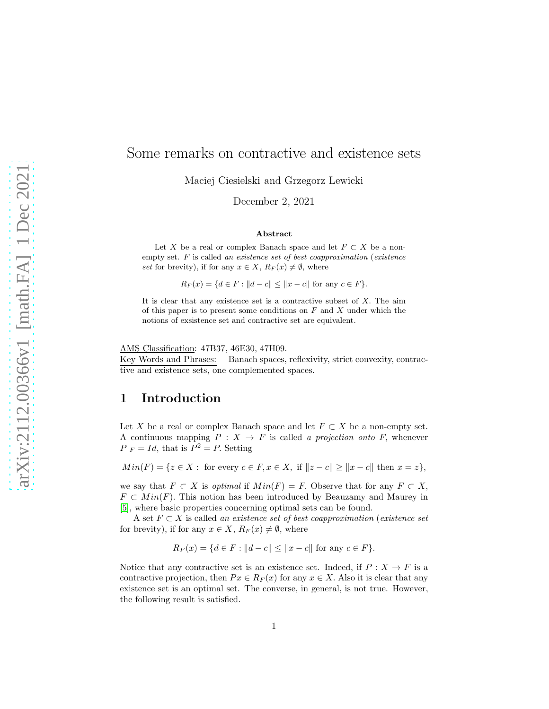# Some remarks on contractive and existence sets

Maciej Ciesielski and Grzegorz Lewicki

December 2, 2021

#### Abstract

Let X be a real or complex Banach space and let  $F \subset X$  be a nonempty set.  $F$  is called an existence set of best coapproximation (existence set for brevity), if for any  $x \in X$ ,  $R_F(x) \neq \emptyset$ , where

 $R_F(x) = \{d \in F : ||d - c|| \le ||x - c|| \text{ for any } c \in F\}.$ 

It is clear that any existence set is a contractive subset of  $X$ . The aim of this paper is to present some conditions on  $F$  and  $X$  under which the notions of exsistence set and contractive set are equivalent.

AMS Classification: 47B37, 46E30, 47H09.

Key Words and Phrases: Banach spaces, reflexivity, strict convexity, contractive and existence sets, one complemented spaces.

# 1 Introduction

Let X be a real or complex Banach space and let  $F \subset X$  be a non-empty set. A continuous mapping  $P: X \to F$  is called a projection onto F, whenever  $P|_F = Id$ , that is  $P^2 = P$ . Setting

 $Min(F) = \{z \in X : \text{ for every } c \in F, x \in X, \text{ if } ||z - c|| \ge ||x - c|| \text{ then } x = z\},\$ 

we say that  $F \subset X$  is *optimal* if  $Min(F) = F$ . Observe that for any  $F \subset X$ ,  $F \subset Min(F)$ . This notion has been introduced by Beauzamy and Maurey in [\[5\]](#page-17-0), where basic properties concerning optimal sets can be found.

A set  $F \subset X$  is called an existence set of best coapproximation (existence set for brevity), if for any  $x \in X$ ,  $R_F(x) \neq \emptyset$ , where

$$
R_F(x) = \{ d \in F : ||d - c|| \le ||x - c|| \text{ for any } c \in F \}.
$$

Notice that any contractive set is an existence set. Indeed, if  $P: X \to F$  is a contractive projection, then  $Px \in R_F(x)$  for any  $x \in X$ . Also it is clear that any existence set is an optimal set. The converse, in general, is not true. However, the following result is satisfied.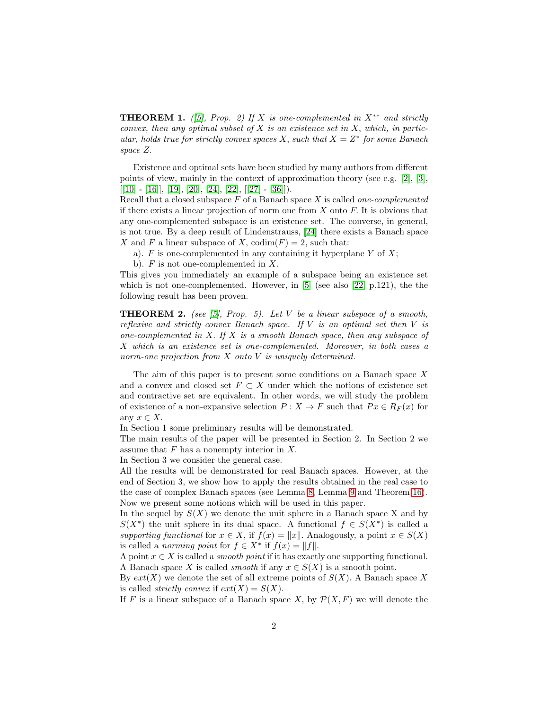<span id="page-1-0"></span>**THEOREM 1.** ([\[5\]](#page-17-0), Prop. 2) If X is one-complemented in  $X^{**}$  and strictly convex, then any optimal subset of  $X$  is an existence set in  $X$ , which, in particular, holds true for strictly convex spaces X, such that  $X = Z^*$  for some Banach space Z.

Existence and optimal sets have been studied by many authors from different points of view, mainly in the context of approximation theory (see e.g. [\[2\]](#page-17-1), [\[3\]](#page-17-2),  $[10]$  - [\[16\]](#page-18-0)], [\[19\]](#page-18-1), [\[20\]](#page-18-2), [\[24\]](#page-18-3), [\[22\]](#page-18-4),[[\[27\]](#page-18-5) - [\[36\]](#page-19-0)]).

Recall that a closed subspace  $F$  of a Banach space X is called *one-complemented* if there exists a linear projection of norm one from  $X$  onto  $F$ . It is obvious that any one-complemented subspace is an existence set. The converse, in general, is not true. By a deep result of Lindenstrauss, [\[24\]](#page-18-3) there exists a Banach space X and F a linear subspace of X,  $\text{codim}(F) = 2$ , such that:

a). F is one-complemented in any containing it hyperplane Y of  $X$ ;

b).  $F$  is not one-complemented in  $X$ .

This gives you immediately an example of a subspace being an existence set which is not one-complemented. However, in [\[5\]](#page-17-0) (see also [\[22\]](#page-18-4) p.121), the the following result has been proven.

**THEOREM 2.** (see [\[5\]](#page-17-0), Prop. 5). Let V be a linear subspace of a smooth, reflexive and strictly convex Banach space. If  $V$  is an optimal set then  $V$  is one-complemented in  $X$ . If  $X$  is a smooth Banach space, then any subspace of X which is an existence set is one-complemented. Moreover, in both cases a norm-one projection from  $X$  onto  $V$  is uniquely determined.

The aim of this paper is to present some conditions on a Banach space  $X$ and a convex and closed set  $F \subset X$  under which the notions of existence set and contractive set are equivalent. In other words, we will study the problem of existence of a non-expansive selection  $P: X \to F$  such that  $Px \in R_F(x)$  for any  $x \in X$ .

In Section 1 some preliminary results will be demonstrated.

The main results of the paper will be presented in Section 2. In Section 2 we assume that  $F$  has a nonempty interior in  $X$ .

In Section 3 we consider the general case.

All the results will be demonstrated for real Banach spaces. However, at the end of Section 3, we show how to apply the results obtained in the real case to the case of complex Banach spaces (see Lemma [8,](#page-15-0) Lemma [9](#page-16-0) and Theorem [16\)](#page-16-1). Now we present some notions which will be used in this paper.

In the sequel by  $S(X)$  we denote the unit sphere in a Banach space X and by  $S(X^*)$  the unit sphere in its dual space. A functional  $f \in S(X^*)$  is called a supporting functional for  $x \in X$ , if  $f(x) = ||x||$ . Analogously, a point  $x \in S(X)$ is called a *norming point* for  $f \in X^*$  if  $f(x) = ||f||$ .

A point  $x \in X$  is called a *smooth point* if it has exactly one supporting functional. A Banach space X is called *smooth* if any  $x \in S(X)$  is a smooth point.

By  $ext(X)$  we denote the set of all extreme points of  $S(X)$ . A Banach space X is called *strictly convex* if  $ext(X) = S(X)$ .

If F is a linear subspace of a Banach space X, by  $\mathcal{P}(X, F)$  we will denote the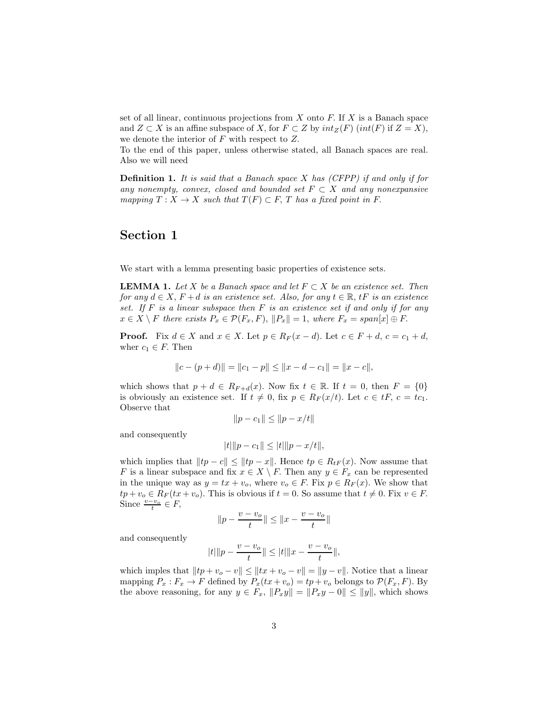set of all linear, continuous projections from  $X$  onto  $F$ . If  $X$  is a Banach space and  $Z \subset X$  is an affine subspace of X, for  $F \subset Z$  by  $int_Z(F)$   $(int(F)$  if  $Z = X)$ , we denote the interior of F with respect to Z.

To the end of this paper, unless otherwise stated, all Banach spaces are real. Also we will need

<span id="page-2-1"></span>**Definition 1.** It is said that a Banach space  $X$  has (CFPP) if and only if for any nonempty, convex, closed and bounded set  $F \subset X$  and any nonexpansive mapping  $T : X \to X$  such that  $T(F) \subset F$ , T has a fixed point in F.

### Section 1

We start with a lemma presenting basic properties of existence sets.

<span id="page-2-0"></span>**LEMMA 1.** Let X be a Banach space and let  $F \subset X$  be an existence set. Then for any  $d \in X$ ,  $F + d$  is an existence set. Also, for any  $t \in \mathbb{R}$ ,  $tF$  is an existence set. If  $F$  is a linear subspace then  $F$  is an existence set if and only if for any  $x \in X \setminus F$  there exists  $P_x \in \mathcal{P}(F_x, F), ||P_x|| = 1$ , where  $F_x = span[x] \oplus F$ .

**Proof.** Fix  $d \in X$  and  $x \in X$ . Let  $p \in R_F(x-d)$ . Let  $c \in F + d$ ,  $c = c_1 + d$ , wher  $c_1 \in F$ . Then

$$
||c - (p + d)|| = ||c_1 - p|| \le ||x - d - c_1|| = ||x - c||,
$$

which shows that  $p + d \in R_{F+d}(x)$ . Now fix  $t \in \mathbb{R}$ . If  $t = 0$ , then  $F = \{0\}$ is obviously an existence set. If  $t \neq 0$ , fix  $p \in R_F(x/t)$ . Let  $c \in tF$ ,  $c = tc_1$ . Observe that

$$
||p - c_1|| \le ||p - x/t||
$$

and consequently

$$
|t| \|p - c_1\| \le |t| \|p - x/t\|,
$$

which implies that  $||tp - c|| \le ||tp - x||$ . Hence  $tp \in R_{tF}(x)$ . Now assume that F is a linear subspace and fix  $x \in X \setminus F$ . Then any  $y \in F_x$  can be represented in the unique way as  $y = tx + v_o$ , where  $v_o \in F$ . Fix  $p \in R_F(x)$ . We show that  $tp + v_o \in R_F(tx + v_o)$ . This is obvious if  $t = 0$ . So assume that  $t \neq 0$ . Fix  $v \in F$ . Since  $\frac{v-v_o}{t} \in F$ ,

$$
\|p-\frac{v-v_o}{t}\|\leq \|x-\frac{v-v_o}{t}\|
$$

and consequently

$$
|t|\|p - \frac{v - v_o}{t}\| \le |t|\|x - \frac{v - v_o}{t}\|,
$$

which imples that  $||tp + v_o - v|| \le ||tx + v_o - v|| = ||y - v||$ . Notice that a linear mapping  $P_x : F_x \to F$  defined by  $P_x(tx + v_o) = tp + v_o$  belongs to  $\mathcal{P}(F_x, F)$ . By the above reasoning, for any  $y \in F_x$ ,  $||P_xy|| = ||P_xy - 0|| \le ||y||$ , which shows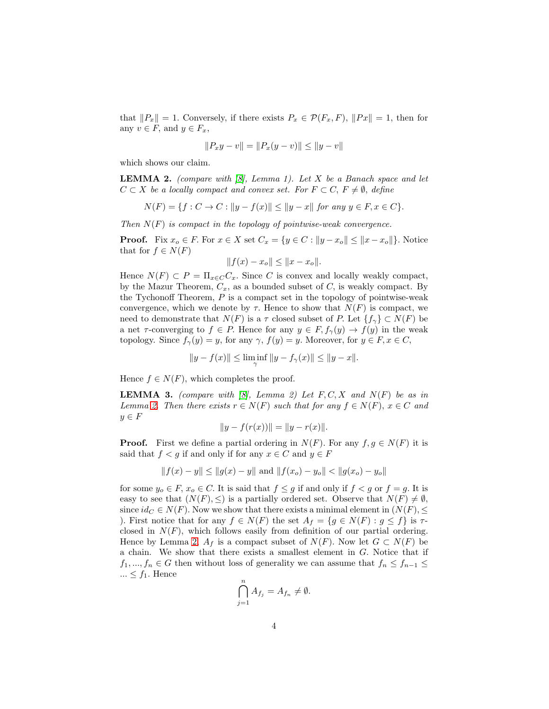that  $||P_x|| = 1$ . Conversely, if there exists  $P_x \in \mathcal{P}(F_x, F)$ ,  $||Px|| = 1$ , then for any  $v \in F$ , and  $y \in F_x$ ,

$$
||P_xy - v|| = ||P_x(y - v)|| \le ||y - v||
$$

which shows our claim.

<span id="page-3-0"></span>**LEMMA 2.** (compare with  $\begin{bmatrix} 8 \end{bmatrix}$ , Lemma 1). Let X be a Banach space and let  $C \subset X$  be a locally compact and convex set. For  $F \subset C$ ,  $F \neq \emptyset$ , define

$$
N(F) = \{ f : C \to C : ||y - f(x)|| \le ||y - x|| \text{ for any } y \in F, x \in C \}.
$$

Then  $N(F)$  is compact in the topology of pointwise-weak convergence.

**Proof.** Fix  $x_o \in F$ . For  $x \in X$  set  $C_x = \{y \in C : ||y - x_o|| \le ||x - x_o||\}$ . Notice that for  $f \in N(F)$ 

$$
||f(x) - x_o|| \le ||x - x_o||.
$$

Hence  $N(F) \subset P = \Pi_{x \in C} C_x$ . Since C is convex and locally weakly compact, by the Mazur Theorem,  $C_x$ , as a bounded subset of C, is weakly compact. By the Tychonoff Theorem,  $P$  is a compact set in the topology of pointwise-weak convergence, which we denote by  $\tau$ . Hence to show that  $N(F)$  is compact, we need to demonstrate that  $N(F)$  is a  $\tau$  closed subset of P. Let  $\{f_{\gamma}\}\subset N(F)$  be a net  $\tau$ -converging to  $f \in P$ . Hence for any  $y \in F$ ,  $f_{\gamma}(y) \to f(y)$  in the weak topology. Since  $f_{\gamma}(y) = y$ , for any  $\gamma$ ,  $f(y) = y$ . Moreover, for  $y \in F$ ,  $x \in C$ ,

$$
||y - f(x)|| \le \liminf_{\gamma} ||y - f_{\gamma}(x)|| \le ||y - x||.
$$

Hence  $f \in N(F)$ , which completes the proof.

<span id="page-3-1"></span>**LEMMA 3.** (compare with [\[8\]](#page-17-4), Lemma 2) Let  $F, C, X$  and  $N(F)$  be as in Lemma [2.](#page-3-0) Then there exists  $r \in N(F)$  such that for any  $f \in N(F)$ ,  $x \in C$  and  $y \in F$ 

$$
||y - f(r(x))|| = ||y - r(x)||.
$$

**Proof.** First we define a partial ordering in  $N(F)$ . For any  $f, g \in N(F)$  it is said that  $f < g$  if and only if for any  $x \in C$  and  $y \in F$ 

$$
||f(x) - y|| \le ||g(x) - y|| \text{ and } ||f(x_o) - y_o|| < ||g(x_o) - y_o||
$$

for some  $y_o \in F$ ,  $x_o \in C$ . It is said that  $f \leq g$  if and only if  $f \leq g$  or  $f = g$ . It is easy to see that  $(N(F), \leq)$  is a partially ordered set. Observe that  $N(F) \neq \emptyset$ , since  $id_C \in N(F)$ . Now we show that there exists a minimal element in  $(N(F), \leq)$ ). First notice that for any  $f \in N(F)$  the set  $A_f = \{g \in N(F) : g \leq f\}$  is  $\tau$ closed in  $N(F)$ , which follows easily from definition of our partial ordering. Hence by Lemma [2,](#page-3-0)  $A_f$  is a compact subset of  $N(F)$ . Now let  $G \subset N(F)$  be a chain. We show that there exists a smallest element in  $G$ . Notice that if  $f_1, ..., f_n \in G$  then without loss of generality we can assume that  $f_n \leq f_{n-1} \leq$  $... \leq f_1$ . Hence

$$
\bigcap_{j=1}^n A_{f_j} = A_{f_n} \neq \emptyset.
$$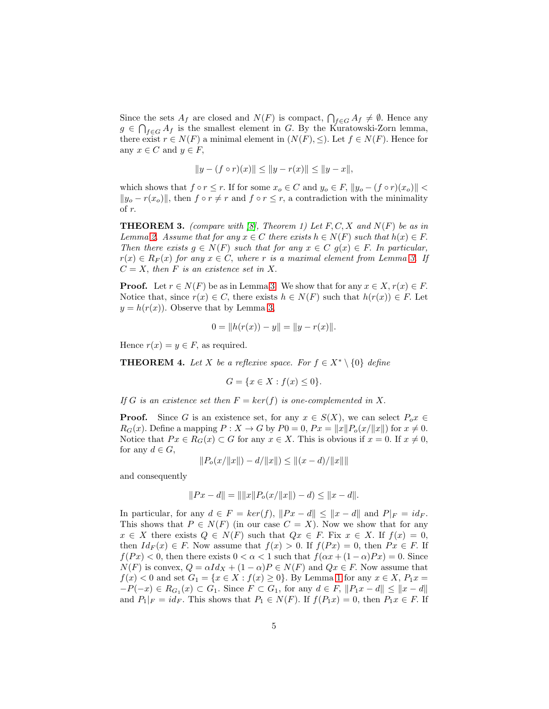Since the sets  $A_f$  are closed and  $N(F)$  is compact,  $\bigcap_{f\in G}A_f\neq\emptyset$ . Hence any  $g \in \bigcap_{f \in G} A_f$  is the smallest element in G. By the Kuratowski-Zorn lemma, there exist  $r \in N(F)$  a minimal element in  $(N(F), \leq)$ . Let  $f \in N(F)$ . Hence for any  $x \in C$  and  $y \in F$ ,

$$
||y - (f \circ r)(x)|| \le ||y - r(x)|| \le ||y - x||,
$$

which shows that  $f \circ r \leq r$ . If for some  $x_o \in C$  and  $y_o \in F$ ,  $||y_o - (f \circ r)(x_o)||$  $||y_o - r(x_o)||$ , then  $f \circ r \neq r$  and  $f \circ r \leq r$ , a contradiction with the minimality of r.

<span id="page-4-0"></span>**THEOREM 3.** (compare with [\[8\]](#page-17-4), Theorem 1) Let  $F, C, X$  and  $N(F)$  be as in Lemma [2.](#page-3-0) Assume that for any  $x \in C$  there exists  $h \in N(F)$  such that  $h(x) \in F$ . Then there exists  $q \in N(F)$  such that for any  $x \in C$   $q(x) \in F$ . In particular,  $r(x) \in R_F(x)$  for any  $x \in C$ , where r is a maximal element from Lemma [3.](#page-3-1) If  $C = X$ , then F is an existence set in X.

**Proof.** Let  $r \in N(F)$  be as in Lemma [3.](#page-3-1) We show that for any  $x \in X$ ,  $r(x) \in F$ . Notice that, since  $r(x) \in C$ , there exists  $h \in N(F)$  such that  $h(r(x)) \in F$ . Let  $y = h(r(x))$ . Observe that by Lemma [3,](#page-3-1)

$$
0 = ||h(r(x)) - y|| = ||y - r(x)||.
$$

Hence  $r(x) = y \in F$ , as required.

<span id="page-4-1"></span>**THEOREM 4.** Let X be a reflexive space. For  $f \in X^* \setminus \{0\}$  define

$$
G = \{ x \in X : f(x) \le 0 \}.
$$

If G is an existence set then  $F = \ker(f)$  is one-complemented in X.

**Proof.** Since G is an existence set, for any  $x \in S(X)$ , we can select  $P_o x \in$  $R_G(x)$ . Define a mapping  $P: X \to G$  by  $P0 = 0$ ,  $Px = ||x||P_o(x/||x||)$  for  $x \neq 0$ . Notice that  $Px \in R_G(x) \subset G$  for any  $x \in X$ . This is obvious if  $x = 0$ . If  $x \neq 0$ , for any  $d \in G$ ,

$$
||P_o(x/||x||) - d/||x||) \le ||(x - d)/||x||||
$$

and consequently

$$
||Px - d|| = ||||x||P_o(x/||x||) - d) \le ||x - d||.
$$

In particular, for any  $d \in F = \ker(f)$ ,  $||Px - d|| \le ||x - d||$  and  $P|_F = id_F$ . This shows that  $P \in N(F)$  (in our case  $C = X$ ). Now we show that for any  $x \in X$  there exists  $Q \in N(F)$  such that  $Qx \in F$ . Fix  $x \in X$ . If  $f(x) = 0$ , then  $Id_F(x) \in F$ . Now assume that  $f(x) > 0$ . If  $f(Px) = 0$ , then  $Px \in F$ . If  $f(Px) < 0$ , then there exists  $0 < \alpha < 1$  such that  $f(\alpha x + (1 - \alpha)Px) = 0$ . Since  $N(F)$  is convex,  $Q = \alpha Id_X + (1 - \alpha)P \in N(F)$  and  $Qx \in F$ . Now assume that  $f(x) < 0$  and set  $G_1 = \{x \in X : f(x) \geq 0\}$ . By Lemma [1](#page-2-0) for any  $x \in X$ ,  $P_1 x =$  $-P(-x) \in R_{G_1}(x) \subset G_1$ . Since  $F \subset G_1$ , for any  $d \in F$ ,  $||P_1x - d|| \le ||x - d||$ and  $P_1|_F = id_F$ . This shows that  $P_1 \in N(F)$ . If  $f(P_1x) = 0$ , then  $P_1x \in F$ . If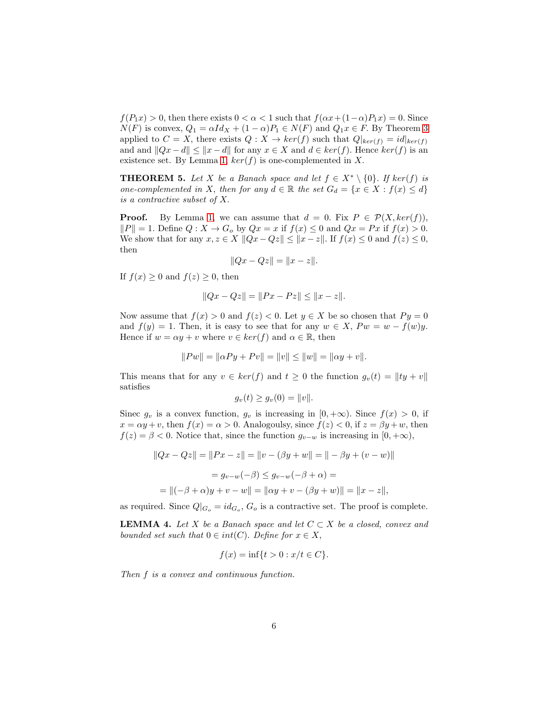$f(P_1x) > 0$ , then there exists  $0 < \alpha < 1$  such that  $f(\alpha x + (1-\alpha)P_1x) = 0$ . Since  $N(F)$  is convex,  $Q_1 = \alpha Id_X + (1 - \alpha)P_1 \in N(F)$  and  $Q_1x \in F$ . By Theorem [3](#page-4-0) applied to  $C = X$ , there exists  $Q: X \to \ker(f)$  such that  $Q|_{\ker(f)} = id|_{\ker(f)}$ and and  $||Qx - d|| \le ||x - d||$  for any  $x \in X$  and  $d \in ker(f)$ . Hence  $ker(f)$  is an existence set. By Lemma [1,](#page-2-0)  $ker(f)$  is one-complemented in X.

<span id="page-5-1"></span>**THEOREM 5.** Let X be a Banach space and let  $f \in X^* \setminus \{0\}$ . If ker(f) is one-complemented in X, then for any  $d \in \mathbb{R}$  the set  $G_d = \{x \in X : f(x) \leq d\}$ is a contractive subset of X.

**Proof.** By Lemma [1,](#page-2-0) we can assume that  $d = 0$ . Fix  $P \in \mathcal{P}(X, \text{ker}(f))$ ,  $||P|| = 1.$  Define  $Q: X \to G_o$  by  $Qx = x$  if  $f(x) \leq 0$  and  $Qx = Px$  if  $f(x) > 0$ . We show that for any  $x, z \in X \Vert Qx - Qz \Vert \leq ||x - z||$ . If  $f(x) \leq 0$  and  $f(z) \leq 0$ , then

$$
||Qx - Qz|| = ||x - z||.
$$

If  $f(x) \geq 0$  and  $f(z) \geq 0$ , then

$$
||Qx - Qz|| = ||Px - Pz|| \le ||x - z||.
$$

Now assume that  $f(x) > 0$  and  $f(z) < 0$ . Let  $y \in X$  be so chosen that  $Py = 0$ and  $f(y) = 1$ . Then, it is easy to see that for any  $w \in X$ ,  $P w = w - f(w)y$ . Hence if  $w = \alpha y + v$  where  $v \in \ker(f)$  and  $\alpha \in \mathbb{R}$ , then

$$
||Pw|| = ||\alpha Py + Pv|| = ||v|| \le ||w|| = ||\alpha y + v||.
$$

This means that for any  $v \in \ker(f)$  and  $t \geq 0$  the function  $g_v(t) = ||ty + v||$ satisfies

$$
g_v(t) \ge g_v(0) = ||v||.
$$

Sinec  $g_v$  is a convex function,  $g_v$  is increasing in  $[0, +\infty)$ . Since  $f(x) > 0$ , if  $x = \alpha y + v$ , then  $f(x) = \alpha > 0$ . Analogoulsy, since  $f(z) < 0$ , if  $z = \beta y + w$ , then  $f(z) = \beta < 0$ . Notice that, since the function  $g_{v-w}$  is increasing in [0, +∞),

$$
||Qx - Qz|| = ||Px - z|| = ||v - (\beta y + w|| = || - \beta y + (v - w)||
$$
  
=  $g_{v-w}(-\beta) \le g_{v-w}(-\beta + \alpha) =$   
=  $||(-\beta + \alpha)y + v - w|| = ||\alpha y + v - (\beta y + w)|| = ||x - z||,$ 

as required. Since  $Q|_{G_o} = id_{G_o}$ ,  $G_o$  is a contractive set. The proof is complete.

<span id="page-5-0"></span>**LEMMA 4.** Let X be a Banach space and let  $C \subset X$  be a closed, convex and bounded set such that  $0 \in int(C)$ . Define for  $x \in X$ ,

$$
f(x) = \inf\{t > 0 : x/t \in C\}.
$$

Then f is a convex and continuous function.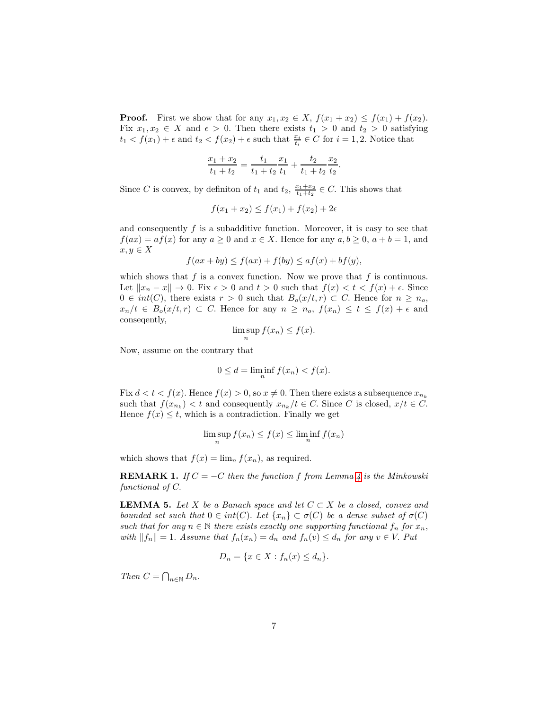**Proof.** First we show that for any  $x_1, x_2 \in X$ ,  $f(x_1 + x_2) \leq f(x_1) + f(x_2)$ . Fix  $x_1, x_2 \in X$  and  $\epsilon > 0$ . Then there exists  $t_1 > 0$  and  $t_2 > 0$  satisfying  $t_1 < f(x_1) + \epsilon$  and  $t_2 < f(x_2) + \epsilon$  such that  $\frac{x_i}{t_i} \in C$  for  $i = 1, 2$ . Notice that

$$
\frac{x_1 + x_2}{t_1 + t_2} = \frac{t_1}{t_1 + t_2} \frac{x_1}{t_1} + \frac{t_2}{t_1 + t_2} \frac{x_2}{t_2}.
$$

Since C is convex, by definiton of  $t_1$  and  $t_2$ ,  $\frac{x_1+x_2}{t_1+t_2} \in C$ . This shows that

$$
f(x_1 + x_2) \le f(x_1) + f(x_2) + 2\epsilon
$$

and consequently  $f$  is a subadditive function. Moreover, it is easy to see that  $f(ax) = af(x)$  for any  $a \ge 0$  and  $x \in X$ . Hence for any  $a, b \ge 0$ ,  $a + b = 1$ , and  $x, y \in X$ 

$$
f(ax + by) \le f(ax) + f(by) \le af(x) + bf(y),
$$

which shows that  $f$  is a convex function. Now we prove that  $f$  is continuous. Let  $||x_n - x|| \to 0$ . Fix  $\epsilon > 0$  and  $t > 0$  such that  $f(x) < t < f(x) + \epsilon$ . Since  $0 \in int(C)$ , there exists  $r > 0$  such that  $B_o(x/t, r) \subset C$ . Hence for  $n \geq n_o$ ,  $x_n/t \in B_o(x/t, r) \subset C$ . Hence for any  $n \geq n_o$ ,  $f(x_n) \leq t \leq f(x) + \epsilon$  and conseqently,

$$
\limsup_{n} f(x_n) \le f(x).
$$

Now, assume on the contrary that

$$
0 \le d = \liminf_{n} f(x_n) < f(x).
$$

Fix  $d < t < f(x)$ . Hence  $f(x) > 0$ , so  $x \neq 0$ . Then there exists a subsequence  $x_{n_k}$ such that  $f(x_{n_k}) < t$  and consequently  $x_{n_k}/t \in C$ . Since C is closed,  $x/t \in C$ . Hence  $f(x) \leq t$ , which is a contradiction. Finally we get

$$
\limsup_{n} f(x_n) \le f(x) \le \liminf_{n} f(x_n)
$$

which shows that  $f(x) = \lim_{n} f(x_n)$ , as required.

**REMARK 1.** If  $C = -C$  then the function f from Lemma [4](#page-5-0) is the Minkowski functional of C.

<span id="page-6-0"></span>**LEMMA 5.** Let X be a Banach space and let  $C \subset X$  be a closed, convex and bounded set such that  $0 \in int(C)$ . Let  $\{x_n\} \subset \sigma(C)$  be a dense subset of  $\sigma(C)$ such that for any  $n \in \mathbb{N}$  there exists exactly one supporting functional  $f_n$  for  $x_n$ , with  $||f_n|| = 1$ . Assume that  $f_n(x_n) = d_n$  and  $f_n(v) \leq d_n$  for any  $v \in V$ . Put

$$
D_n = \{ x \in X : f_n(x) \le d_n \}.
$$

Then  $C = \bigcap_{n \in \mathbb{N}} D_n$ .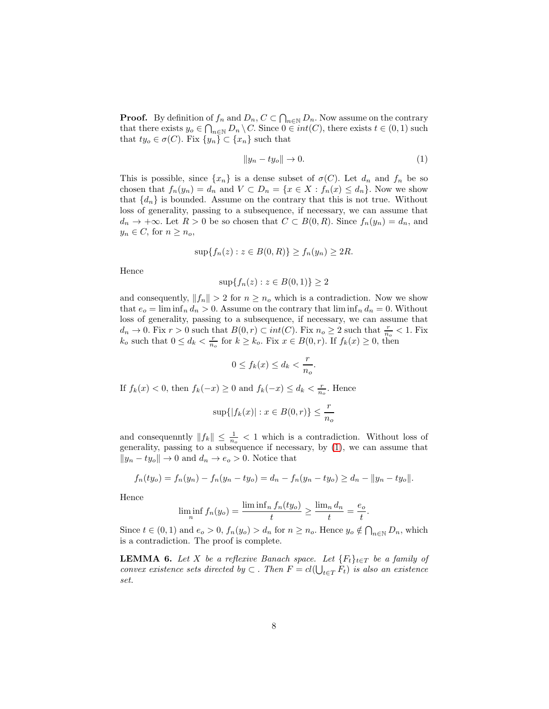**Proof.** By definition of  $f_n$  and  $D_n$ ,  $C \subset \bigcap_{n \in \mathbb{N}} D_n$ . Now assume on the contrary that there exists  $y_o \in \bigcap_{n \in \mathbb{N}} D_n \setminus C$ . Since  $0 \in int(C)$ , there exists  $t \in (0, 1)$  such that  $ty_o \in \sigma(C)$ . Fix  $\{y_n\} \subset \{x_n\}$  such that

<span id="page-7-0"></span>
$$
||y_n - ty_o|| \to 0. \tag{1}
$$

This is possible, since  $\{x_n\}$  is a dense subset of  $\sigma(C)$ . Let  $d_n$  and  $f_n$  be so chosen that  $f_n(y_n) = d_n$  and  $V \subset D_n = \{x \in X : f_n(x) \leq d_n\}$ . Now we show that  ${d_n}$  is bounded. Assume on the contrary that this is not true. Without loss of generality, passing to a subsequence, if necessary, we can assume that  $d_n \to +\infty$ . Let  $R > 0$  be so chosen that  $C \subset B(0,R)$ . Since  $f_n(y_n) = d_n$ , and  $y_n \in C$ , for  $n \geq n_o$ ,

$$
\sup\{f_n(z) : z \in B(0,R)\} \ge f_n(y_n) \ge 2R.
$$

Hence

$$
\sup\{f_n(z) : z \in B(0,1)\} \ge 2
$$

and consequently,  $||f_n|| > 2$  for  $n \geq n_o$  which is a contradiction. Now we show that  $e_o = \liminf_n d_n > 0$ . Assume on the contrary that  $\liminf_n d_n = 0$ . Without loss of generality, passing to a subsequence, if necessary, we can assume that  $d_n \to 0$ . Fix  $r > 0$  such that  $B(0,r) \subset int(C)$ . Fix  $n_o \geq 2$  such that  $\frac{r}{n_o} < 1$ . Fix  $k_o$  such that  $0 \leq d_k < \frac{r}{n_o}$  for  $k \geq k_o$ . Fix  $x \in B(0, r)$ . If  $f_k(x) \geq 0$ , then

$$
0 \le f_k(x) \le d_k < \frac{r}{n_o}.
$$

If  $f_k(x) < 0$ , then  $f_k(-x) \ge 0$  and  $f_k(-x) \le d_k < \frac{r}{n_o}$ . Hence

$$
\sup\{|f_k(x)| : x \in B(0,r)\} \le \frac{r}{n_o}
$$

and consequently  $||f_k|| \leq \frac{1}{n_o} < 1$  which is a contradiction. Without loss of generality, passing to a subsequence if necessary, by [\(1\)](#page-7-0), we can assume that  $||y_n - ty_o|| \to 0$  and  $d_n \to e_o > 0$ . Notice that

$$
f_n(ty_o) = f_n(y_n) - f_n(y_n - ty_o) = d_n - f_n(y_n - ty_o) \ge d_n - ||y_n - ty_o||.
$$

Hence

$$
\liminf_{n} f_n(y_o) = \frac{\liminf_{n} f_n(t y_o)}{t} \ge \frac{\lim_{n} d_n}{t} = \frac{e_o}{t}.
$$

Since  $t \in (0,1)$  and  $e_o > 0$ ,  $f_n(y_o) > d_n$  for  $n \geq n_o$ . Hence  $y_o \notin \bigcap_{n \in \mathbb{N}} D_n$ , which is a contradiction. The proof is complete.

<span id="page-7-1"></span>**LEMMA 6.** Let X be a reflexive Banach space. Let  ${F_t}_{t \in T}$  be a family of convex existence sets directed by  $\subset$ . Then  $F = cl(\bigcup_{t \in T} F_t)$  is also an existence set.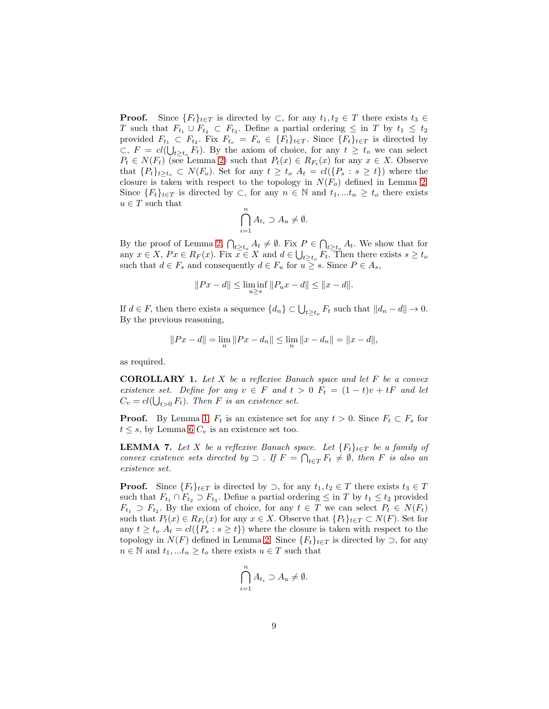**Proof.** Since  ${F_t}_{t \in T}$  is directed by  $\subset$ , for any  $t_1, t_2 \in T$  there exists  $t_3 \in$ T such that  $F_{t_1} \cup F_{t_2} \subset F_{t_3}$ . Define a partial ordering  $\leq$  in T by  $t_1 \leq t_2$ provided  $F_{t_1} \subset F_{t_2}$ . Fix  $F_{t_0} = F_o \in \{F_t\}_{t \in T}$ . Since  $\{F_t\}_{t \in T}$  is directed by ⊂,  $F = cl(\bigcup_{t \ge t_o} F_t)$ . By the axiom of choice, for any  $t \ge t_o$  we can select  $P_t \in N(F_t)$  (see Lemma [2\)](#page-3-0) such that  $P_t(x) \in R_{F_t}(x)$  for any  $x \in X$ . Observe that  ${P_t}_{t>t_o} \subset N(F_o)$ . Set for any  $t \geq t_o$   $A_t = cl({P_s : s \geq t})$  where the closure is taken with respect to the topology in  $N(F_o)$  defined in Lemma [2.](#page-3-0) Since  ${F_t}_{t\in T}$  is directed by  $\subset$ , for any  $n \in \mathbb{N}$  and  $t_1,...t_n \geq t_0$  there exists  $u \in T$  such that

$$
\bigcap_{i=1}^n A_{t_i} \supset A_u \neq \emptyset.
$$

By the proof of Lemma [2,](#page-3-0)  $\bigcap_{t\geq t_o} A_t \neq \emptyset$ . Fix  $P \in \bigcap_{t\geq t_o} A_t$ . We show that for any  $x \in X$ ,  $Px \in R_F(x)$ . Fix  $x \in X$  and  $d \in \bigcup_{t \ge t_o} F_t$ . Then there exists  $s \ge t_o$ such that  $d \in F_s$  and consequently  $d \in F_u$  for  $u \geq s$ . Since  $P \in A_s$ ,

$$
||Px - d|| \le \liminf_{u \ge s} ||P_u x - d|| \le ||x - d||.
$$

If  $d \in F$ , then there exists a sequence  $\{d_n\} \subset \bigcup_{t \geq t_o} F_t$  such that  $||d_n - d|| \to 0$ . By the previous reasoning,

$$
||Px - d|| = \lim_{n} ||Px - d_n|| \le \lim_{n} ||x - d_n|| = ||x - d||,
$$

as required.

<span id="page-8-0"></span>**COROLLARY 1.** Let  $X$  be a reflexive Banach space and let  $F$  be a convex existence set. Define for any  $v \in F$  and  $t > 0$   $F_t = (1-t)v + tF$  and let  $C_v = cl(\bigcup_{t>0} F_t)$ . Then F is an existence set.

**Proof.** By Lemma [1,](#page-2-0)  $F_t$  is an existence set for any  $t > 0$ . Since  $F_t \subset F_s$  for  $t \leq s$ , by Lemma [6](#page-7-1)  $C_v$  is an existence set too.

<span id="page-8-1"></span>**LEMMA 7.** Let X be a reflexive Banach space. Let  ${F_t}_{t \in T}$  be a family of convex existence sets directed by  $\supset$ . If  $F = \bigcap_{t \in T} F_t \neq \emptyset$ , then F is also an existence set.

**Proof.** Since  ${F_t}_{t \in T}$  is directed by  $\supset$ , for any  $t_1, t_2 \in T$  there exists  $t_3 \in T$ such that  $F_{t_1} \cap F_{t_2} \supset F_{t_3}$ . Define a partial ordering  $\leq$  in T by  $t_1 \leq t_2$  provided  $F_{t_1} \supset F_{t_2}$ . By the exiom of choice, for any  $t \in T$  we can select  $P_t \in N(F_t)$ such that  $P_t(x) \in R_{F_t}(x)$  for any  $x \in X$ . Observe that  $\{P_t\}_{t \in T} \subset N(F)$ . Set for any  $t \geq t_o$   $A_t = cl({P_s : s \geq t})$  where the closure is taken with respect to the topology in  $N(F)$  defined in Lemma [2.](#page-3-0) Since  ${F_t}_{t\in T}$  is directed by  $\supset$ , for any  $n \in \mathbb{N}$  and  $t_1, ... t_n \geq t_o$  there exists  $u \in T$  such that

$$
\bigcap_{i=1}^n A_{t_i} \supset A_u \neq \emptyset.
$$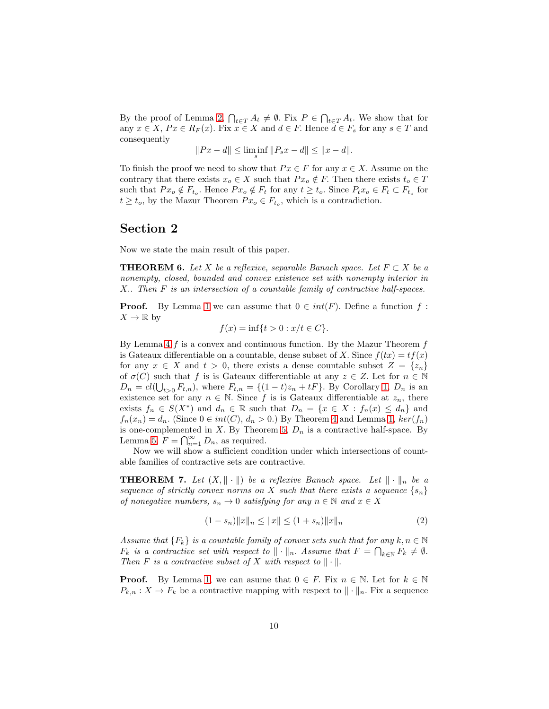By the proof of Lemma [2,](#page-3-0)  $\bigcap_{t\in T} A_t \neq \emptyset$ . Fix  $P \in \bigcap_{t\in T} A_t$ . We show that for any  $x \in X$ ,  $Px \in R_F(x)$ . Fix  $x \in X$  and  $d \in F$ . Hence  $d \in F_s$  for any  $s \in T$  and consequently

$$
||Px - d|| \le \liminf_{s} ||P_s x - d|| \le ||x - d||.
$$

To finish the proof we need to show that  $Px \in F$  for any  $x \in X$ . Assume on the contrary that there exists  $x_o \in X$  such that  $Px_o \notin F$ . Then there exists  $t_o \in T$ such that  $Px_o \notin F_{t_o}$ . Hence  $Px_o \notin F_t$  for any  $t \geq t_o$ . Since  $P_t x_o \in F_t \subset F_{t_o}$  for  $t \geq t_o$ , by the Mazur Theorem  $Px_o \in F_{t_o}$ , which is a contradiction.

#### Section 2

Now we state the main result of this paper.

<span id="page-9-0"></span>**THEOREM 6.** Let X be a reflexive, separable Banach space. Let  $F \subset X$  be a nonempty, closed, bounded and convex existence set with nonempty interior in X.. Then F is an intersection of a countable family of contractive half-spaces.

**Proof.** By Lemma [1](#page-2-0) we can assume that  $0 \in int(F)$ . Define a function f:  $X \to \mathbb{R}$  by

$$
f(x) = \inf\{t > 0 : x/t \in C\}.
$$

By Lemma [4](#page-5-0)  $f$  is a convex and continuous function. By the Mazur Theorem  $f$ is Gateaux differentiable on a countable, dense subset of X. Since  $f(tx) = tf(x)$ for any  $x \in X$  and  $t > 0$ , there exists a dense countable subset  $Z = \{z_n\}$ of  $\sigma(C)$  such that f is is Gateaux differentiable at any  $z \in Z$ . Let for  $n \in \mathbb{N}$  $D_n = cl(\bigcup_{t>0} F_{t,n})$ , where  $F_{t,n} = \{(1-t)z_n + tF\}$ . By Corollary [1,](#page-8-0)  $D_n$  is an existence set for any  $n \in \mathbb{N}$ . Since f is is Gateaux differentiable at  $z_n$ , there exists  $f_n \in S(X^*)$  and  $d_n \in \mathbb{R}$  such that  $D_n = \{x \in X : f_n(x) \leq d_n\}$  and  $f_n(x_n) = d_n$ . (Since  $0 \in int(C)$ ,  $d_n > 0$ .) By Theorem [4](#page-4-1) and Lemma [1,](#page-2-0)  $ker(f_n)$ is one-complemented in X. By Theorem [5,](#page-5-1)  $D_n$  is a contractive half-space. By Lemma [5,](#page-6-0)  $F = \bigcap_{n=1}^{\infty} D_n$ , as required.

Now we will show a sufficient condition under which intersections of countable families of contractive sets are contractive.

<span id="page-9-1"></span>**THEOREM 7.** Let  $(X, \|\cdot\|)$  be a reflexive Banach space. Let  $\|\cdot\|_n$  be a sequence of strictly convex norms on X such that there exists a sequence  $\{s_n\}$ of nonegative numbers,  $s_n \to 0$  satisfying for any  $n \in \mathbb{N}$  and  $x \in X$ 

$$
(1 - s_n) \|x\|_n \le \|x\| \le (1 + s_n) \|x\|_n \tag{2}
$$

Assume that  ${F_k}$  is a countable family of convex sets such that for any  $k, n \in \mathbb{N}$  $F_k$  is a contractive set with respect to  $\|\cdot\|_n$ . Assume that  $F = \bigcap_{k \in \mathbb{N}} F_k \neq \emptyset$ . Then F is a contractive subset of X with respect to  $\|\cdot\|$ .

**Proof.** By Lemma [1,](#page-2-0) we can asume that  $0 \in F$ . Fix  $n \in \mathbb{N}$ . Let for  $k \in \mathbb{N}$  $P_{k,n}: X \to F_k$  be a contractive mapping with respect to  $\|\cdot\|_n$ . Fix a sequence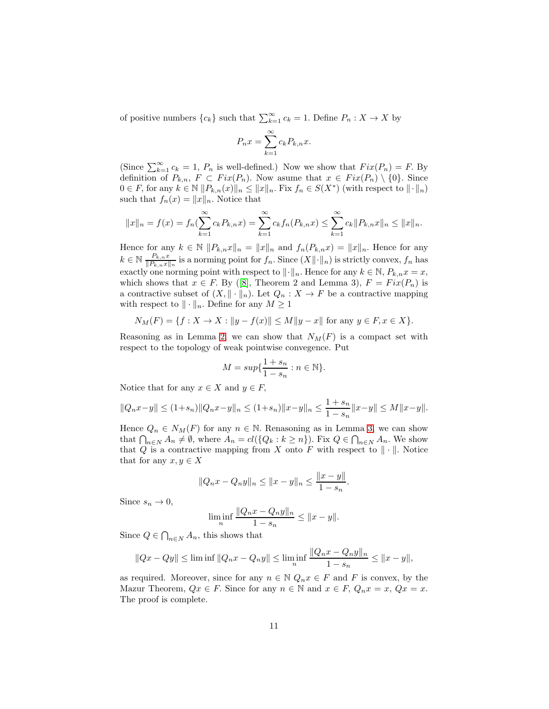of positive numbers  $\{c_k\}$  such that  $\sum_{k=1}^{\infty} c_k = 1$ . Define  $P_n : X \to X$  by

$$
P_n x = \sum_{k=1}^{\infty} c_k P_{k,n} x.
$$

(Since  $\sum_{k=1}^{\infty} c_k = 1$ ,  $P_n$  is well-defined.) Now we show that  $Fix(P_n) = F$ . By definition of  $P_{k,n}$ ,  $F \subset Fix(P_n)$ . Now asume that  $x \in Fix(P_n) \setminus \{0\}$ . Since  $0 \in F$ , for any  $k \in \mathbb{N} || P_{k,n}(x) ||_n \leq ||x||_n$ . Fix  $f_n \in S(X^*)$  (with respect to  $|| \cdot ||_n$ ) such that  $f_n(x) = ||x||_n$ . Notice that

$$
||x||_n = f(x) = f_n(\sum_{k=1}^{\infty} c_k P_{k,n} x) = \sum_{k=1}^{\infty} c_k f_n(P_{k,n} x) \le \sum_{k=1}^{\infty} c_k ||P_{k,n} x||_n \le ||x||_n.
$$

Hence for any  $k \in \mathbb{N}$   $||P_{k,n}x||_n = ||x||_n$  and  $f_n(P_{k,n}x) = ||x||_n$ . Hence for any  $k \in \mathbb{N}$   $\frac{P_{k,n}x}{\|P_n-x\|}$  $\frac{F_{k,n}x}{\|P_{k,n}x\|_n}$  is a norming point for  $f_n$ . Since  $(X\|\cdot\|_n)$  is strictly convex,  $f_n$  has exactly one norming point with respect to  $\|\cdot\|_n$ . Hence for any  $k \in \mathbb{N}$ ,  $P_{k,n} x = x$ , which shows that  $x \in F$ . By ([\[8\]](#page-17-4), Theorem 2 and Lemma 3),  $F = Fix(P_n)$  is a contractive subset of  $(X, \|\cdot\|_n)$ . Let  $Q_n : X \to F$  be a contractive mapping with respect to  $\|\cdot\|_n$ . Define for any  $M \geq 1$ 

$$
N_M(F) = \{ f : X \to X : ||y - f(x)|| \le M ||y - x|| \text{ for any } y \in F, x \in X \}.
$$

Reasoning as in Lemma [2,](#page-3-0) we can show that  $N_M(F)$  is a compact set with respect to the topology of weak pointwise convegence. Put

$$
M = \sup\{\frac{1+s_n}{1-s_n} : n \in \mathbb{N}\}.
$$

Notice that for any  $x \in X$  and  $y \in F$ ,

$$
||Q_nx-y|| \le (1+s_n)||Q_nx-y||_n \le (1+s_n)||x-y||_n \le \frac{1+s_n}{1-s_n}||x-y|| \le M||x-y||.
$$

Hence  $Q_n \in N_M(F)$  for any  $n \in \mathbb{N}$ . Renasoning as in Lemma [3,](#page-3-1) we can show that  $\bigcap_{n\in\mathbb{N}}A_n\neq\emptyset$ , where  $A_n=cl(\{Q_k:k\geq n\})$ . Fix  $Q\in\bigcap_{n\in\mathbb{N}}A_n$ . We show that Q is a contractive mapping from X onto F with respect to  $\|\cdot\|$ . Notice that for any  $x, y \in X$ 

$$
||Q_n x - Q_n y||_n \le ||x - y||_n \le \frac{||x - y||}{1 - s_n}.
$$

Since  $s_n \to 0$ ,

$$
\liminf_{n} \frac{\|Q_n x - Q_n y\|_n}{1 - s_n} \le \|x - y\|.
$$

Since  $Q \in \bigcap_{n \in \mathbb{N}} A_n$ , this shows that

$$
||Qx - Qy|| \le \liminf ||Q_n x - Q_n y|| \le \liminf_{n} \frac{||Q_n x - Q_n y||_n}{1 - s_n} \le ||x - y||,
$$

as required. Moreover, since for any  $n \in \mathbb{N}$   $Q_n x \in F$  and F is convex, by the Mazur Theorem,  $Qx \in F$ . Since for any  $n \in \mathbb{N}$  and  $x \in F$ ,  $Q_n x = x$ ,  $Qx = x$ . The proof is complete.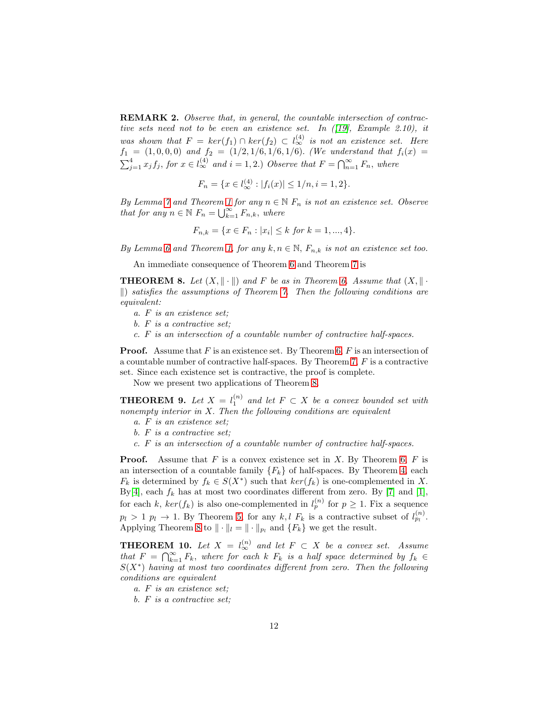REMARK 2. Observe that, in general, the countable intersection of contractive sets need not to be even an existence set. In ([\[19\]](#page-18-1), Example 2.10), it was shown that  $F = \ker(f_1) \cap \ker(f_2) \subset l_{\infty}^{(4)}$  is not an existence set. Here  $f_1 = (1, 0, 0, 0)$  and  $f_2 = (1/2, 1/6, 1/6, 1/6)$ . (We understand that  $f_i(x) =$  $\sum_{j=1}^{4} x_j f_j$ , for  $x \in l_{\infty}^{(4)}$  and  $i = 1, 2$ .) Observe that  $F = \bigcap_{n=1}^{\infty} F_n$ , where

$$
F_n = \{ x \in l_{\infty}^{(4)} : |f_i(x)| \le 1/n, i = 1, 2 \}.
$$

By Lemma [7](#page-8-1) and Theorem [1](#page-2-0) for any  $n \in \mathbb{N}$   $F_n$  is not an existence set. Observe that for any  $n \in \mathbb{N}$   $F_n = \bigcup_{k=1}^{\infty} F_{n,k}$ , where

$$
F_{n,k} = \{ x \in F_n : |x_i| \le k \text{ for } k = 1, ..., 4 \}.
$$

By Lemma [6](#page-7-1) and Theorem [1,](#page-2-0) for any  $k, n \in \mathbb{N}$ ,  $F_{n,k}$  is not an existence set too.

An immediate consequence of Theorem [6](#page-9-0) and Theorem [7](#page-9-1) is

<span id="page-11-0"></span>**THEOREM 8.** Let  $(X, \|\cdot\|)$  and F be as in Theorem [6.](#page-9-0) Assume that  $(X, \|\cdot\|)$  $\|$ ) satisfies the assumptions of Theorem [7.](#page-9-1) Then the following conditions are equivalent:

- a. F is an existence set;
- b. F is a contractive set;
- c. F is an intersection of a countable number of contractive half-spaces.

**Proof.** Assume that F is an existence set. By Theorem [6,](#page-9-0) F is an intersection of a countable number of contractive half-spaces. By Theorem [7,](#page-9-1) F is a contractive set. Since each existence set is contractive, the proof is complete.

Now we present two applications of Theorem [8.](#page-11-0)

<span id="page-11-1"></span>**THEOREM 9.** Let  $X = l_1^{(n)}$  and let  $F \subset X$  be a convex bounded set with nonempty interior in  $X$ . Then the following conditions are equivalent

- a. F is an existence set;
- b. F is a contractive set;
- c. F is an intersection of a countable number of contractive half-spaces.

**Proof.** Assume that F is a convex existence set in X. By Theorem [6,](#page-9-0) F is an intersection of a countable family  ${F_k}$  of half-spaces. By Theorem [4,](#page-4-1) each  $F_k$  is determined by  $f_k \in S(X^*)$  such that  $ker(f_k)$  is one-complemented in X. By[\[4\]](#page-17-5), each  $f_k$  has at most two coordinates different from zero. By [\[7\]](#page-17-6) and [\[1\]](#page-17-7), for each k,  $ker(f_k)$  is also one-complemented in  $l_p^{(n)}$  for  $p \geq 1$ . Fix a sequence  $p_l > 1$   $p_l \rightarrow 1$ . By Theorem [5,](#page-5-1) for any k, l  $F_k$  is a contractive subset of  $l_{p_l}^{(n)}$ . Applying Theorem [8](#page-11-0) to  $\|\cdot\|_l = \|\cdot\|_{p_l}$  and  $\{F_k\}$  we get the result.

<span id="page-11-2"></span>**THEOREM 10.** Let  $X = l_{\infty}^{(n)}$  and let  $F \subset X$  be a convex set. Assume that  $F = \bigcap_{k=1}^{\infty} F_k$ , where for each k  $F_k$  is a half space determined by  $f_k \in$  $S(X^*)$  having at most two coordinates different from zero. Then the following conditions are equivalent

- a. F is an existence set;
- b. F is a contractive set;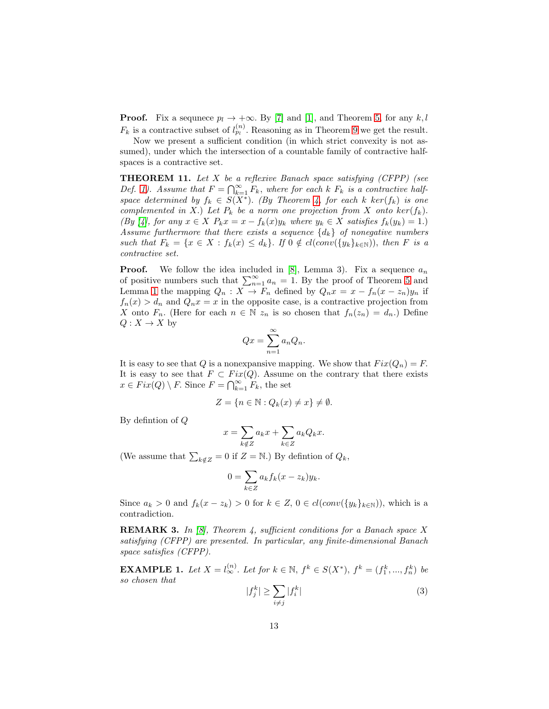**Proof.** Fix a sequnece  $p_l \to +\infty$ . By [\[7\]](#page-17-6) and [\[1\]](#page-17-7), and Theorem [5,](#page-5-1) for any k,l  $F_k$  is a contractive subset of  $l_{p_l}^{(n)}$ . Reasoning as in Theorem [9](#page-11-1) we get the result.

Now we present a sufficient condition (in which strict convexity is not assumed), under which the intersection of a countable family of contractive halfspaces is a contractive set.

<span id="page-12-0"></span>**THEOREM 11.** Let  $X$  be a reflexive Banach space satisfying (CFPP) (see Def. [1\)](#page-2-1). Assume that  $F = \bigcap_{k=1}^{\infty} F_k$ , where for each k  $F_k$  is a contractive halfspace determined by  $f_k \in S(X^*)$ . (By Theorem [4,](#page-4-1) for each k ker( $f_k$ ) is one complemented in X.) Let  $P_k$  be a norm one projection from X onto ker( $f_k$ ). (By [\[4\]](#page-17-5), for any  $x \in X$   $P_k x = x - f_k(x)y_k$  where  $y_k \in X$  satisfies  $f_k(y_k) = 1$ .) Assume furthermore that there exists a sequence  $\{d_k\}$  of nonegative numbers such that  $F_k = \{x \in X : f_k(x) \leq d_k\}$ . If  $0 \notin cl(conv(\{y_k\}_{k \in \mathbb{N}}))$ , then F is a contractive set.

**Proof.** We follow the idea included in [\[8\]](#page-17-4), Lemma 3). Fix a sequence  $a_n$ of positive numbers such that  $\sum_{n=1}^{\infty} a_n = 1$ . By the proof of Theorem [5](#page-5-1) and Lemma [1](#page-2-0) the mapping  $Q_n : X \to F_n$  defined by  $Q_n x = x - f_n(x - z_n)y_n$  if  $f_n(x) > d_n$  and  $Q_n x = x$  in the opposite case, is a contractive projection from X onto  $F_n$ . (Here for each  $n \in \mathbb{N}$   $z_n$  is so chosen that  $f_n(z_n) = d_n$ .) Define  $Q: X \to X$  by

$$
Qx = \sum_{n=1}^{\infty} a_n Q_n.
$$

It is easy to see that Q is a nonexpansive mapping. We show that  $Fix(Q_n) = F$ . It is easy to see that  $F \subset Fix(Q)$ . Assume on the contrary that there exists  $x \in Fix(Q) \setminus F$ . Since  $F = \bigcap_{k=1}^{\infty} F_k$ , the set

$$
Z = \{ n \in \mathbb{N} : Q_k(x) \neq x \} \neq \emptyset.
$$

By defintion of Q

$$
x = \sum_{k \notin Z} a_k x + \sum_{k \in Z} a_k Q_k x.
$$

(We assume that  $\sum_{k \notin Z} = 0$  if  $Z = \mathbb{N}$ .) By defintion of  $Q_k$ ,

$$
0 = \sum_{k \in Z} a_k f_k(x - z_k) y_k.
$$

Since  $a_k > 0$  and  $f_k(x - z_k) > 0$  for  $k \in \mathbb{Z}$ ,  $0 \in cl(conv({y_k}_{k \in \mathbb{N}}))$ , which is a contradiction.

**REMARK 3.** In [\[8\]](#page-17-4), Theorem 4, sufficient conditions for a Banach space X satisfying (CFPP) are presented. In particular, any finite-dimensional Banach space satisfies (CFPP).

**EXAMPLE 1.** Let  $X = l_{\infty}^{(n)}$ . Let for  $k \in \mathbb{N}$ ,  $f^k \in S(X^*)$ ,  $f^k = (f_1^k, ..., f_n^k)$  be so chosen that

<span id="page-12-1"></span>
$$
|f_j^k| \ge \sum_{i \ne j} |f_i^k| \tag{3}
$$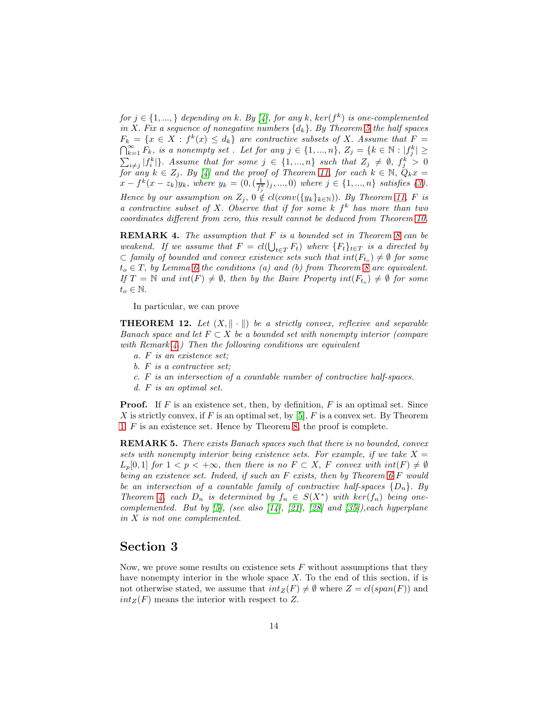for  $j \in \{1, ..., \}$  depending on k. By [\[4\]](#page-17-5), for any k,  $ker(f^k)$  is one-complemented in X. Fix a sequence of nonegative numbers  $\{d_k\}$ . By Theorem [5](#page-5-1) the half spaces  $F_k = \{x \in X : f^k(x) \leq d_k\}$  are contractive subsets of X. Assume that  $F =$  $\bigcap_{k=1}^{\infty} F_k$ , is a nonempty set. Let for any  $j \in \{1, ..., n\}$ ,  $Z_j = \{k \in \mathbb{N} : |f_j^k| \geq 1\}$  $\sum_{i\neq j}|f_i^k|\}.$  Assume that for some  $j \in \{1,...,n\}$  such that  $Z_j \neq \emptyset$ ,  $f_j^k > 0$ for any  $k \in Z_j$ . By [\[4\]](#page-17-5) and the proof of Theorem [11,](#page-12-0) for each  $k \in \mathbb{N}$ ,  $Q_k x =$  $x - f^{k}(x - z_{k})y_{k}$ , where  $y_{k} = (0, (\frac{1}{f_{j}^{k}})_{j}, ..., 0)$  where  $j \in \{1, ..., n\}$  satisfies [\(3\)](#page-12-1). Hence by our assumption on  $Z_j$ ,  $0 \notin cl(conv({y_k}_{k \in \mathbb{N}}))$ . By Theorem [11,](#page-12-0) F is a contractive subset of X. Observe that if for some  $k$   $f^k$  has more than two

coordinates different from zero, this result cannot be deduced from Theorem [10.](#page-11-2)

<span id="page-13-0"></span>**REMARK 4.** The assumption that  $F$  is a bounded set in Theorem  $\delta$  can be weakend. If we assume that  $F = cl(\bigcup_{t \in T} F_t)$  where  $\{F_t\}_{t \in T}$  is a directed by  $\subset$  family of bounded and convex existence sets such that  $int(F_{t_o}) \neq \emptyset$  for some  $t_o \in T$ , by Lemma [6](#page-7-1) the conditions (a) and (b) from Theorem [8](#page-11-0) are equivalent. If  $T = \mathbb{N}$  and  $int(F) \neq \emptyset$ , then by the Baire Property  $int(F_{t_o}) \neq \emptyset$  for some  $t_o \in \mathbb{N}$ .

In particular, we can prove

<span id="page-13-1"></span>**THEOREM 12.** Let  $(X, \|\cdot\|)$  be a strictly convex, reflexive and separable Banach space and let  $F \subset X$  be a bounded set with nonempty interior (compare with Remark [4.](#page-13-0)) Then the following conditions are equivalent

- a. F is an existence set;
- b. F is a contractive set;
- c. F is an intersection of a countable number of contractive half-spaces.
- d. F is an optimal set.

**Proof.** If  $F$  is an existence set, then, by definition,  $F$  is an optimal set. Since X is strictly convex, if F is an optimal set, by  $[5]$ , F is a convex set. By Theorem [1,](#page-1-0) F is an existence set. Hence by Theorem [8,](#page-11-0) the proof is complete.

REMARK 5. There exists Banach spaces such that there is no bounded, convex sets with nonempty interior being existence sets. For example, if we take  $X =$  $L_p[0,1]$  for  $1 < p < +\infty$ , then there is no  $F \subset X$ , F convex with  $int(F) \neq \emptyset$ being an existence set. Indeed, if such an F exists, then by Theorem [6](#page-9-0) F would be an intersection of a countable family of contractive half-spaces  $\{D_n\}$ . By Theorem [4,](#page-4-1) each  $D_n$  is determined by  $f_n \in S(X^*)$  with  $ker(f_n)$  being onecomplemented. But by  $(5)$ , (see also  $(14)$ ,  $(21)$ ,  $(28)$  and  $(35)$ ), each hyperplane in X is not one complemented.

### Section 3

Now, we prove some results on existence sets  $F$  without assumptions that they have nonempty interior in the whole space  $X$ . To the end of this section, if is not otherwise stated, we assume that  $int_Z(F) \neq \emptyset$  where  $Z = cl(span(F))$  and  $int_Z(F)$  means the interior with respect to Z.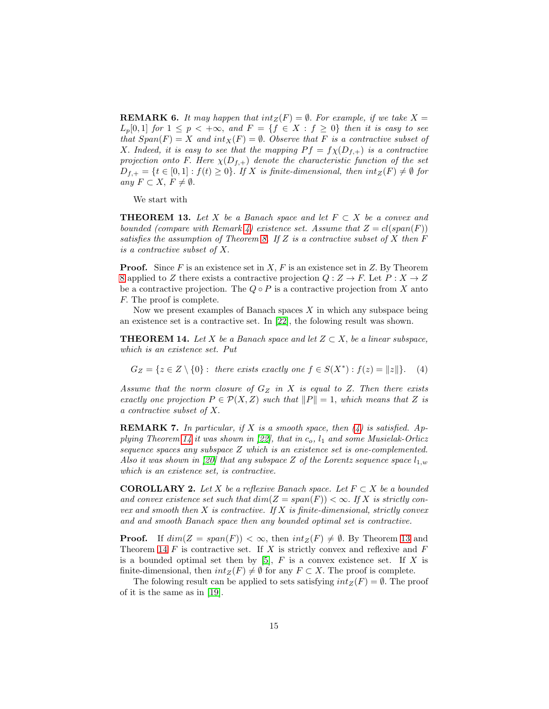**REMARK 6.** It may happen that  $int_Z(F) = \emptyset$ . For example, if we take  $X =$  $L_p[0,1]$  for  $1 \leq p < +\infty$ , and  $F = \{f \in X : f \geq 0\}$  then it is easy to see that  $Span(F) = X$  and  $int_X(F) = \emptyset$ . Observe that F is a contractive subset of X. Indeed, it is easy to see that the mapping  $P f = f \chi(D_{f,+})$  is a contractive projection onto F. Here  $\chi(D_{f,+})$  denote the characteristic function of the set  $D_{f,+} = \{t \in [0,1]: f(t) \geq 0\}$ . If X is finite-dimensional, then  $int_Z(F) \neq \emptyset$  for any  $F \subset X, F \neq \emptyset$ .

We start with

<span id="page-14-2"></span>**THEOREM 13.** Let X be a Banach space and let  $F \subset X$  be a convex and bounded (compare with Remark [4\)](#page-13-0) existence set. Assume that  $Z = cl(span(F))$ satisfies the assumption of Theorem [8.](#page-11-0) If  $Z$  is a contractive subset of  $X$  then  $F$ is a contractive subset of X.

**Proof.** Since F is an existence set in  $X$ , F is an existence set in Z. By Theorem [8](#page-11-0) applied to Z there exists a contractive projection  $Q: Z \to F$ . Let  $P: X \to Z$ be a contractive projection. The  $Q \circ P$  is a contractive projection from X anto F. The proof is complete.

Now we present examples of Banach spaces  $X$  in which any subspace being an existence set is a contractive set. In [\[22\]](#page-18-4), the folowing result was shown.

<span id="page-14-1"></span>**THEOREM 14.** Let X be a Banach space and let  $Z \subset X$ , be a linear subspace, which is an existence set. Put

<span id="page-14-0"></span> $G_Z = \{z \in Z \setminus \{0\} : \text{ there exists exactly one } f \in S(X^*) : f(z) = ||z||\}.$  (4)

Assume that the norm closure of  $G_Z$  in X is equal to Z. Then there exists exactly one projection  $P \in \mathcal{P}(X, Z)$  such that  $||P|| = 1$ , which means that Z is a contractive subset of X.

**REMARK 7.** In particular, if X is a smooth space, then  $(4)$  is satisfied. Ap-plying Theorem [14](#page-14-1) it was shown in [\[22\]](#page-18-4), that in  $c_0$ ,  $l_1$  and some Musielak-Orlicz sequence spaces any subspace Z which is an existence set is one-complemented. Also it was shown in [\[20\]](#page-18-2) that any subspace Z of the Lorentz sequence space  $l_{1,w}$ which is an existence set, is contractive.

**COROLLARY 2.** Let X be a reflexive Banach space. Let  $F \subset X$  be a bounded and convex existence set such that  $dim(Z = span(F)) < \infty$ . If X is strictly convex and smooth then X is contractive. If X is finite-dimensional, strictly convex and and smooth Banach space then any bounded optimal set is contractive.

**Proof.** If  $dim(Z = span(F)) < \infty$ , then  $int_Z(F) \neq \emptyset$ . By Theorem [13](#page-14-2) and Theorem [14](#page-14-1)  $F$  is contractive set. If  $X$  is strictly convex and reflexive and  $F$ is a bounded optimal set then by  $[5]$ , F is a convex existence set. If X is finite-dimensional, then  $int_Z(F) \neq \emptyset$  for any  $F \subset X$ . The proof is complete.

The folowing result can be applied to sets satisfying  $int_Z(F) = \emptyset$ . The proof of it is the same as in [\[19\]](#page-18-1).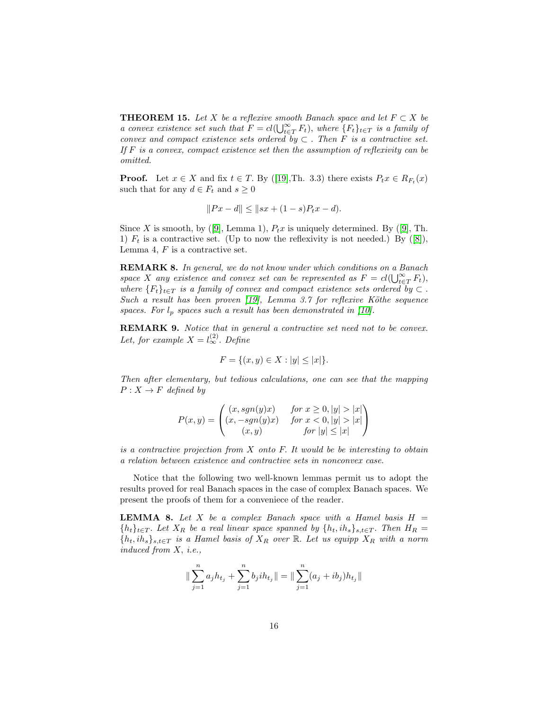<span id="page-15-1"></span>**THEOREM 15.** Let X be a reflexive smooth Banach space and let  $F \subset X$  be a convex existence set such that  $F = cl(\bigcup_{t \in T}^{\infty} F_t)$ , where  $\{F_t\}_{t \in T}$  is a family of convex and compact existence sets ordered by  $\subset$ . Then F is a contractive set. If  $F$  is a convex, compact existence set then the assumption of reflexivity can be omitted.

**Proof.** Let  $x \in X$  and fix  $t \in T$ . By ([\[19\]](#page-18-1), Th. 3.3) there exists  $P_t x \in R_{F_t}(x)$ such that for any  $d \in F_t$  and  $s \geq 0$ 

$$
||Px - d|| \le ||sx + (1 - s)P_t x - d).
$$

Since X is smooth, by ([\[9\]](#page-17-8), Lemma 1),  $P_tx$  is uniquely determined. By ([9], Th. 1)  $F_t$  is a contractive set. (Up to now the reflexivity is not needed.) By ([\[8\]](#page-17-4)), Lemma 4,  $F$  is a contractive set.

REMARK 8. In general, we do not know under which conditions on a Banach space X any existence and convex set can be represented as  $F = cl(\bigcup_{t \in T}^{\infty} F_t),$ where  ${F_t}_{t \in T}$  is a family of convex and compact existence sets ordered by  $\subset$ . Such a result has been proven [\[19\]](#page-18-1), Lemma 3.7 for reflexive Köthe sequence spaces. For  $l_p$  spaces such a result has been demonstrated in [\[10\]](#page-17-3).

REMARK 9. Notice that in general a contractive set need not to be convex. Let, for example  $X = l_{\infty}^{(2)}$ . Define

$$
F = \{(x, y) \in X : |y| \le |x|\}.
$$

Then after elementary, but tedious calculations, one can see that the mapping  $P: X \to F$  defined by

$$
P(x,y) = \begin{pmatrix} (x, sgn(y)x) & \text{for } x \ge 0, |y| > |x| \\ (x, -sgn(y)x) & \text{for } x < 0, |y| > |x| \\ (x, y) & \text{for } |y| \le |x| \end{pmatrix}
$$

is a contractive projection from  $X$  onto  $F$ . It would be be interesting to obtain a relation between existence and contractive sets in nonconvex case.

Notice that the following two well-known lemmas permit us to adopt the results proved for real Banach spaces in the case of complex Banach spaces. We present the proofs of them for a conveniece of the reader.

<span id="page-15-0"></span>**LEMMA 8.** Let X be a complex Banach space with a Hamel basis  $H =$  ${h_t}_{t\in T}$ . Let  $X_R$  be a real linear space spanned by  ${h_t, ih_s}_{s,t\in T}$ . Then  $H_R =$  ${h_t, ih_s}_{s,t\in T}$  is a Hamel basis of  $X_R$  over R. Let us equipp  $X_R$  with a norm induced from X, i.e.,

$$
\|\sum_{j=1}^n a_j h_{t_j} + \sum_{j=1}^n b_j i h_{t_j}\| = \|\sum_{j=1}^n (a_j + ib_j) h_{t_j}\|
$$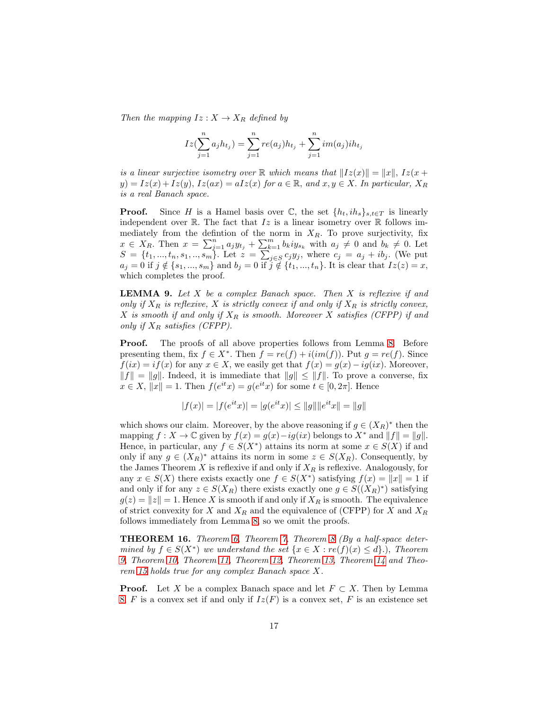Then the mapping  $Iz: X \to X_R$  defined by

$$
Iz(\sum_{j=1}^{n} a_j h_{t_j}) = \sum_{j=1}^{n} re(a_j)h_{t_j} + \sum_{j=1}^{n} im(a_j)ih_{t_j}
$$

is a linear surjective isometry over  $\mathbb R$  which means that  $||I_z(x)|| = ||x||$ ,  $I_z(x +$  $y) = Iz(x) + Iz(y), Iz(ax) = aIz(x)$  for  $a \in \mathbb{R}$ , and  $x, y \in X$ . In particular,  $X_R$ is a real Banach space.

**Proof.** Since H is a Hamel basis over C, the set  $\{h_t, ih_s\}_{s,t\in T}$  is linearly independent over  $\mathbb R$ . The fact that  $Iz$  is a linear isometry over  $\mathbb R$  follows immediately from the defintion of the norm in  $X_R$ . To prove surjectivity, fix  $x \in X_R$ . Then  $x = \sum_{j=1}^n a_j y_{t_j} + \sum_{k=1}^m b_k i y_{s_k}$  with  $a_j \neq 0$  and  $b_k \neq 0$ . Let  $S = \{t_1, ..., t_n, s_1, ..., s_m\}$ . Let  $z = \sum_{j \in S} c_j y_j$ , where  $c_j = a_j + ib_j$ . (We put  $a_j = 0$  if  $j \notin \{s_1, ..., s_m\}$  and  $b_j = 0$  if  $j \notin \{t_1, ..., t_n\}$ . It is clear that  $Iz(z) = x$ , which completes the proof.

<span id="page-16-0"></span>**LEMMA 9.** Let  $X$  be a complex Banach space. Then  $X$  is reflexive if and only if  $X_R$  is reflexive, X is strictly convex if and only if  $X_R$  is strictly convex, X is smooth if and only if  $X_R$  is smooth. Moreover X satisfies (CFPP) if and only if  $X_R$  satisfies (CFPP).

Proof. The proofs of all above properties follows from Lemma [8.](#page-15-0) Before presenting them, fix  $f \in X^*$ . Then  $f = re(f) + i(im(f))$ . Put  $g = re(f)$ . Since  $f(ix) = if(x)$  for any  $x \in X$ , we easily get that  $f(x) = g(x) - ig(ix)$ . Moreover,  $||f|| = ||g||$ . Indeed, it is immediate that  $||g|| \le ||f||$ . To prove a converse, fix  $x \in X$ ,  $||x|| = 1$ . Then  $f(e^{it}x) = g(e^{it}x)$  for some  $t \in [0, 2\pi]$ . Hence

$$
|f(x)| = |f(e^{it}x)| = |g(e^{it}x)| \le ||g|| ||e^{it}x|| = ||g||
$$

which shows our claim. Moreover, by the above reasoning if  $g \in (X_R)^*$  then the mapping  $f : X \to \mathbb{C}$  given by  $f(x) = g(x) - ig(ix)$  belongs to  $X^*$  and  $||f|| = ||g||$ . Hence, in particular, any  $f \in S(X^*)$  attains its norm at some  $x \in S(X)$  if and only if any  $g \in (X_R)^*$  attains its norm in some  $z \in S(X_R)$ . Consequently, by the James Theorem  $X$  is reflexive if and only if  $X_R$  is reflexive. Analogously, for any  $x \in S(X)$  there exists exactly one  $f \in S(X^*)$  satisfying  $f(x) = ||x|| = 1$  if and only if for any  $z \in S(X_R)$  there exists exactly one  $g \in S((X_R)^*)$  satisfying  $g(z) = ||z|| = 1$ . Hence X is smooth if and only if  $X_R$  is smooth. The equivalence of strict convexity for X and  $X_R$  and the equivalence of (CFPP) for X and  $X_R$ follows immediately from Lemma [8,](#page-15-0) so we omit the proofs.

<span id="page-16-1"></span>**THEOREM 16.** Theorem [6,](#page-9-0) Theorem [7,](#page-9-1) Theorem [8](#page-11-0) (By a half-space determined by  $f \in S(X^*)$  we understand the set  $\{x \in X : re(f)(x) \leq d\}$ .), Theorem [9,](#page-11-1) Theorem [10,](#page-11-2) Theorem [11,](#page-12-0) Theorem [12,](#page-13-1) Theorem [13,](#page-14-2) Theorem [14](#page-14-1) and Theorem [15](#page-15-1) holds true for any complex Banach space X.

**Proof.** Let X be a complex Banach space and let  $F \subset X$ . Then by Lemma [8,](#page-15-0) F is a convex set if and only if  $Iz(F)$  is a convex set, F is an existence set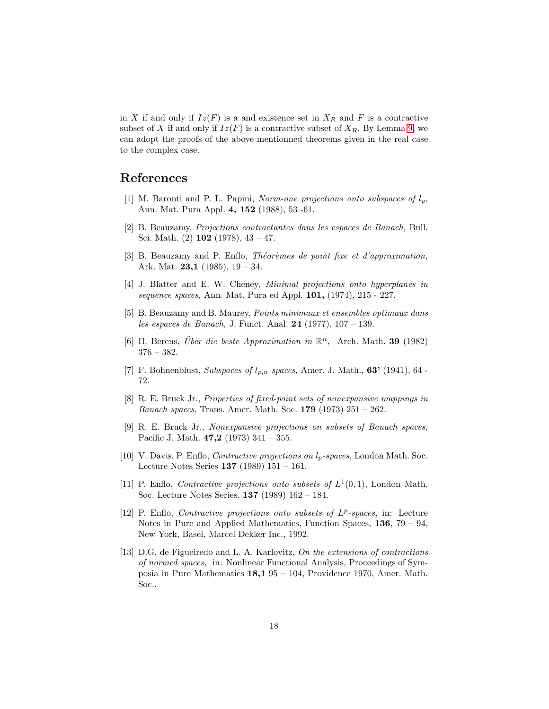in X if and only if  $Iz(F)$  is a and existence set in  $X_R$  and F is a contractive subset of X if and only if  $Iz(F)$  is a contractive subset of  $X_R$ . By Lemma [9,](#page-16-0) we can adopt the proofs of the above mentionned theorems given in the real case to the complex case.

# <span id="page-17-7"></span>References

- <span id="page-17-1"></span>[1] M. Baronti and P. L. Papini, Norm-one projections onto subspaces of  $l_p$ , Ann. Mat. Pura Appl. 4, 152 (1988), 53 -61.
- [2] B. Beauzamy, Projections contractantes dans les espaces de Banach, Bull. Sci. Math.  $(2)$  102 (1978), 43 – 47.
- <span id="page-17-2"></span>[3] B. Beauzamy and P. Enflo, *Théorèmes de point fixe et d'approximation*, Ark. Mat. 23,1  $(1985)$ , 19 – 34.
- <span id="page-17-5"></span><span id="page-17-0"></span>[4] J. Blatter and E. W. Cheney, Minimal projections onto hyperplanes in sequence spaces, Ann. Mat. Pura ed Appl. 101, (1974), 215 - 227.
- [5] B. Beauzamy and B. Maurey, Points minimaux et ensembles optimaux dans les espaces de Banach, J. Funct. Anal. 24 (1977), 107 – 139.
- <span id="page-17-6"></span>[6] H. Berens, Über die beste Approximation in  $\mathbb{R}^n$ , Arch. Math. 39 (1982)  $376 - 382.$
- <span id="page-17-4"></span>[7] F. Bohnenblust, Subspaces of  $l_{p,n}$  spaces, Amer. J. Math., 63' (1941), 64 -72.
- [8] R. E. Bruck Jr., Properties of fixed-point sets of nonexpansive mappings in Banach spaces, Trans. Amer. Math. Soc. 179 (1973) 251 – 262.
- <span id="page-17-8"></span>[9] R. E. Bruck Jr., Nonexpansive projections on subsets of Banach spaces, Pacific J. Math. 47,2 (1973) 341 – 355.
- <span id="page-17-3"></span>[10] V. Davis, P. Enflo, *Contractive projections on*  $l_p$ -spaces, London Math. Soc. Lecture Notes Series 137 (1989) 151 – 161.
- [11] P. Enflo, *Contractive projections onto subsets of*  $L^1(0,1)$ , London Math. Soc. Lecture Notes Series, 137 (1989) 162 – 184.
- [12] P. Enflo, *Contractive projections onto subsets of*  $L^p$ *-spaces*, in: Lecture Notes in Pure and Applied Mathematics, Function Spaces, 136, 79 – 94, New York, Basel, Marcel Dekker Inc., 1992.
- [13] D.G. de Figueiredo and L. A. Karlovitz, On the extensions of contractions of normed spaces, in: Nonlinear Functional Analysis, Proceedings of Symposia in Pure Mathematics 18,1 95 – 104, Providence 1970, Amer. Math. Soc..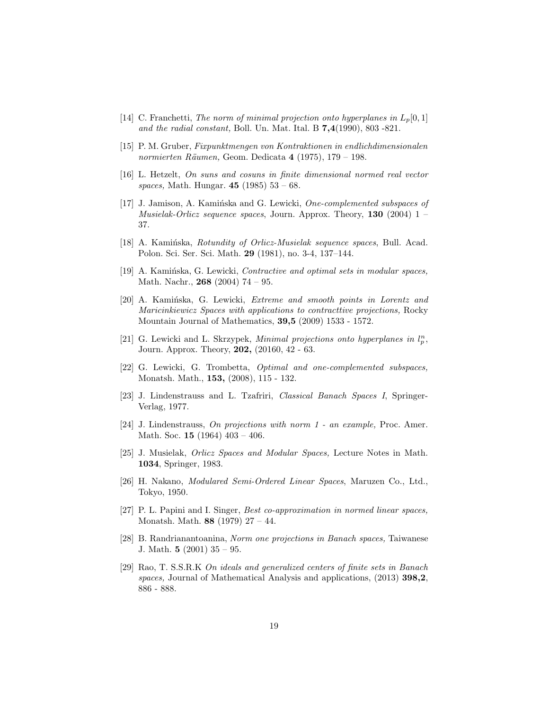- <span id="page-18-6"></span>[14] C. Franchetti, The norm of minimal projection onto hyperplanes in  $L_p[0,1]$ and the radial constant, Boll. Un. Mat. Ital. B  $7,4(1990)$ , 803 -821.
- <span id="page-18-0"></span>[15] P. M. Gruber, Fixpunktmengen von Kontraktionen in endlichdimensionalen normierten Räumen, Geom. Dedicata 4 (1975), 179 – 198.
- [16] L. Hetzelt, On suns and cosuns in finite dimensional normed real vector spaces, Math. Hungar.  $45$  (1985)  $53 - 68$ .
- [17] J. Jamison, A. Kamińska and G. Lewicki, One-complemented subspaces of *Musielak-Orlicz sequence spaces, Journ. Approx. Theory, 130 (2004)*  $1 -$ 37.
- [18] A. Kamińska, *Rotundity of Orlicz-Musielak sequence spaces*, Bull. Acad. Polon. Sci. Ser. Sci. Math. 29 (1981), no. 3-4, 137–144.
- <span id="page-18-1"></span>[19] A. Kaminska, G. Lewicki, *Contractive and optimal sets in modular spaces*, Math. Nachr., 268 (2004) 74 – 95.
- <span id="page-18-2"></span>[20] A. Kamińska, G. Lewicki, Extreme and smooth points in Lorentz and Maricinkiewicz Spaces with applications to contracttive projections, Rocky Mountain Journal of Mathematics, 39,5 (2009) 1533 - 1572.
- <span id="page-18-7"></span>[21] G. Lewicki and L. Skrzypek, *Minimal projections onto hyperplanes in*  $l_p^n$ , Journ. Approx. Theory, 202, (20160, 42 - 63.
- <span id="page-18-4"></span>[22] G. Lewicki, G. Trombetta, Optimal and one-complemented subspaces, Monatsh. Math., 153, (2008), 115 - 132.
- [23] J. Lindenstrauss and L. Tzafriri, Classical Banach Spaces I, Springer-Verlag, 1977.
- <span id="page-18-3"></span>[24] J. Lindenstrauss, On projections with norm 1 - an example, Proc. Amer. Math. Soc. 15 (1964)  $403 - 406$ .
- [25] J. Musielak, Orlicz Spaces and Modular Spaces, Lecture Notes in Math. 1034, Springer, 1983.
- [26] H. Nakano, Modulared Semi-Ordered Linear Spaces, Maruzen Co., Ltd., Tokyo, 1950.
- <span id="page-18-5"></span>[27] P. L. Papini and I. Singer, Best co-approximation in normed linear spaces, Monatsh. Math. 88 (1979) 27 – 44.
- <span id="page-18-8"></span>[28] B. Randrianantoanina, Norm one projections in Banach spaces, Taiwanese J. Math.  $5(2001)$   $35-95$ .
- [29] Rao, T. S.S.R.K On ideals and generalized centers of finite sets in Banach spaces, Journal of Mathematical Analysis and applications, (2013) 398,2, 886 - 888.